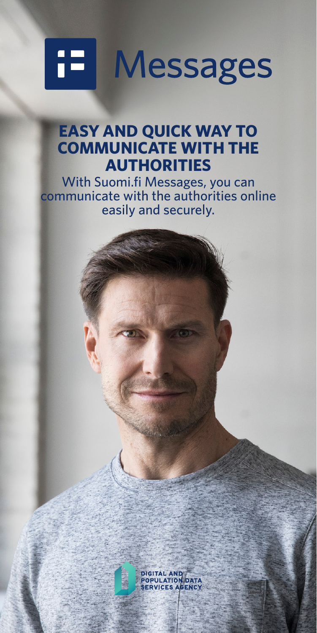# œТ **Messages**

#### **EASY AND QUICK WAY TO COMMUNICATE WITH THE AUTHORITIES**

With Suomi.fi Messages, you can communicate with the authorities online easily and securely.

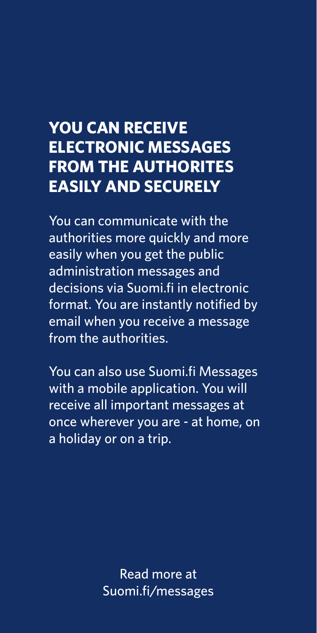## **YOU CAN RECEIVE ELECTRONIC MESSAGES FROM THE AUTHORITES EASILY AND SECURELY**

You can communicate with the authorities more quickly and more easily when you get the public administration messages and decisions via Suomi.fi in electronic format. You are instantly notified by email when you receive a message from the authorities.

You can also use Suomi.fi Messages with a mobile application. You will receive all important messages at once wherever you are - at home, on a holiday or on a trip.

> Read more at Suomi.fi/messages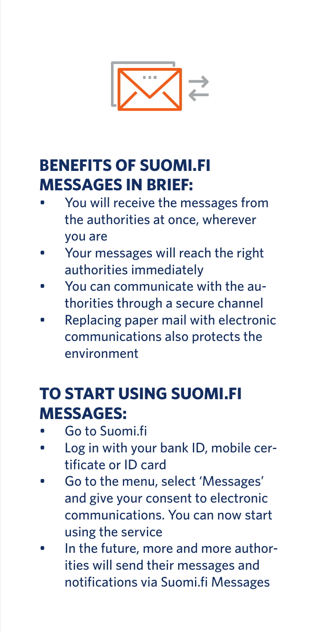

### **BENEFITS OF SUOMI.FI MESSAGES IN BRIEF:**

- You will receive the messages from the authorities at once, wherever you are
- Your messages will reach the right authorities immediately
- You can communicate with the authorities through a secure channel
- Replacing paper mail with electronic communications also protects the environment

### **TO START USING SUOMI.FI MESSAGES:**

- Go to Suomi.fi
- Log in with your bank ID, mobile certificate or ID card
- Go to the menu, select 'Messages' and give your consent to electronic communications. You can now start using the service
- In the future, more and more authorities will send their messages and notifications via Suomi.fi Messages